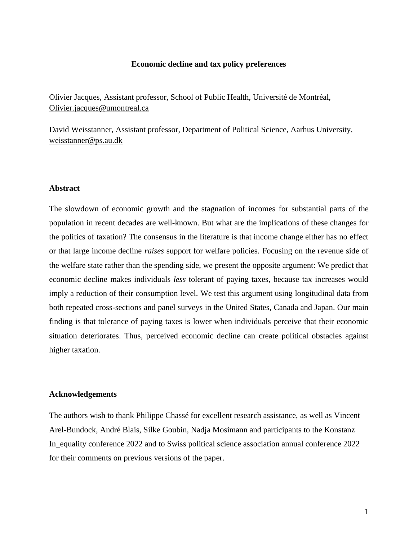## **Economic decline and tax policy preferences**

Olivier Jacques, Assistant professor, School of Public Health, Université de Montréal, [Olivier.jacques@umontreal.ca](mailto:Olivier.jacques@umontreal.ca)

David Weisstanner, Assistant professor, Department of Political Science, Aarhus University, [weisstanner@ps.au.dk](mailto:weisstanner@ps.au.dk)

# **Abstract**

The slowdown of economic growth and the stagnation of incomes for substantial parts of the population in recent decades are well-known. But what are the implications of these changes for the politics of taxation? The consensus in the literature is that income change either has no effect or that large income decline *raises* support for welfare policies. Focusing on the revenue side of the welfare state rather than the spending side, we present the opposite argument: We predict that economic decline makes individuals *less* tolerant of paying taxes, because tax increases would imply a reduction of their consumption level. We test this argument using longitudinal data from both repeated cross-sections and panel surveys in the United States, Canada and Japan. Our main finding is that tolerance of paying taxes is lower when individuals perceive that their economic situation deteriorates. Thus, perceived economic decline can create political obstacles against higher taxation.

### **Acknowledgements**

The authors wish to thank Philippe Chassé for excellent research assistance, as well as Vincent Arel-Bundock, André Blais, Silke Goubin, Nadja Mosimann and participants to the Konstanz In\_equality conference 2022 and to Swiss political science association annual conference 2022 for their comments on previous versions of the paper.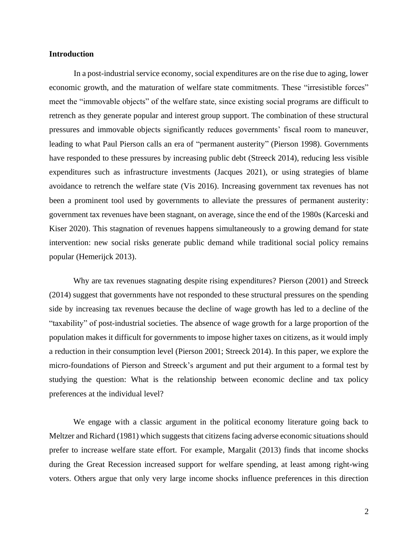## **Introduction**

In a post-industrial service economy, social expenditures are on the rise due to aging, lower economic growth, and the maturation of welfare state commitments. These "irresistible forces" meet the "immovable objects" of the welfare state, since existing social programs are difficult to retrench as they generate popular and interest group support. The combination of these structural pressures and immovable objects significantly reduces governments' fiscal room to maneuver, leading to what Paul Pierson calls an era of "permanent austerity" (Pierson 1998). Governments have responded to these pressures by increasing public debt (Streeck 2014), reducing less visible expenditures such as infrastructure investments (Jacques 2021), or using strategies of blame avoidance to retrench the welfare state (Vis 2016). Increasing government tax revenues has not been a prominent tool used by governments to alleviate the pressures of permanent austerity: government tax revenues have been stagnant, on average, since the end of the 1980s (Karceski and Kiser 2020). This stagnation of revenues happens simultaneously to a growing demand for state intervention: new social risks generate public demand while traditional social policy remains popular (Hemerijck 2013).

Why are tax revenues stagnating despite rising expenditures? Pierson (2001) and Streeck (2014) suggest that governments have not responded to these structural pressures on the spending side by increasing tax revenues because the decline of wage growth has led to a decline of the "taxability" of post-industrial societies. The absence of wage growth for a large proportion of the population makes it difficult for governments to impose higher taxes on citizens, as it would imply a reduction in their consumption level (Pierson 2001; Streeck 2014). In this paper, we explore the micro-foundations of Pierson and Streeck's argument and put their argument to a formal test by studying the question: What is the relationship between economic decline and tax policy preferences at the individual level?

We engage with a classic argument in the political economy literature going back to Meltzer and Richard (1981) which suggests that citizens facing adverse economic situations should prefer to increase welfare state effort. For example, Margalit (2013) finds that income shocks during the Great Recession increased support for welfare spending, at least among right-wing voters. Others argue that only very large income shocks influence preferences in this direction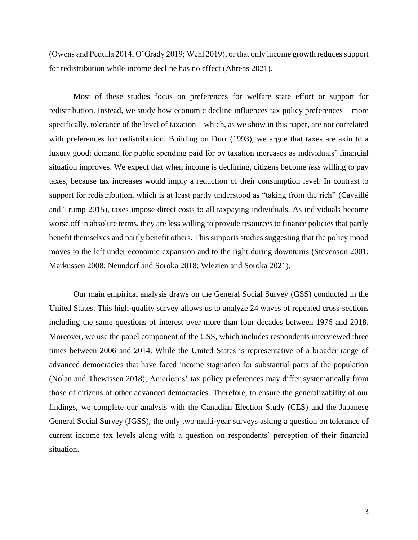(Owens and Pedulla 2014; O'Grady 2019; Wehl 2019), or that only income growth reduces support for redistribution while income decline has no effect (Ahrens 2021).

Most of these studies focus on preferences for welfare state effort or support for redistribution. Instead, we study how economic decline influences tax policy preferences – more specifically, tolerance of the level of taxation – which, as we show in this paper, are not correlated with preferences for redistribution. Building on Durr (1993), we argue that taxes are akin to a luxury good: demand for public spending paid for by taxation increases as individuals' financial situation improves. We expect that when income is declining, citizens become *less* willing to pay taxes, because tax increases would imply a reduction of their consumption level. In contrast to support for redistribution, which is at least partly understood as "taking from the rich" (Cavaillé and Trump 2015), taxes impose direct costs to all taxpaying individuals. As individuals become worse off in absolute terms, they are less willing to provide resources to finance policies that partly benefit themselves and partly benefit others. This supports studies suggesting that the policy mood moves to the left under economic expansion and to the right during downturns (Stevenson 2001; Markussen 2008; Neundorf and Soroka 2018; Wlezien and Soroka 2021).

Our main empirical analysis draws on the General Social Survey (GSS) conducted in the United States. This high-quality survey allows us to analyze 24 waves of repeated cross-sections including the same questions of interest over more than four decades between 1976 and 2018. Moreover, we use the panel component of the GSS, which includes respondents interviewed three times between 2006 and 2014. While the United States is representative of a broader range of advanced democracies that have faced income stagnation for substantial parts of the population (Nolan and Thewissen 2018), Americans' tax policy preferences may differ systematically from those of citizens of other advanced democracies. Therefore, to ensure the generalizability of our findings, we complete our analysis with the Canadian Election Study (CES) and the Japanese General Social Survey (JGSS), the only two multi-year surveys asking a question on tolerance of current income tax levels along with a question on respondents' perception of their financial situation.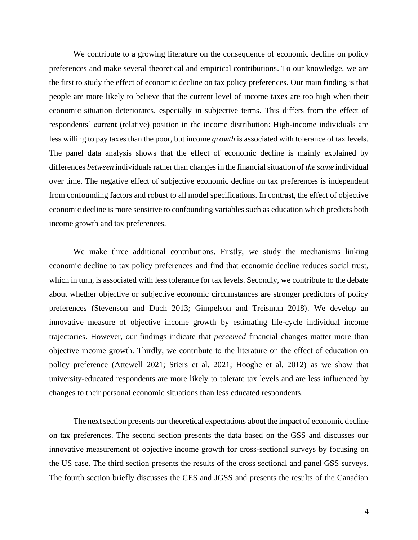We contribute to a growing literature on the consequence of economic decline on policy preferences and make several theoretical and empirical contributions. To our knowledge, we are the first to study the effect of economic decline on tax policy preferences. Our main finding is that people are more likely to believe that the current level of income taxes are too high when their economic situation deteriorates, especially in subjective terms. This differs from the effect of respondents' current (relative) position in the income distribution: High-income individuals are less willing to pay taxes than the poor, but income *growth* is associated with tolerance of tax levels. The panel data analysis shows that the effect of economic decline is mainly explained by differences *between* individuals rather than changes in the financial situation of *the same* individual over time. The negative effect of subjective economic decline on tax preferences is independent from confounding factors and robust to all model specifications. In contrast, the effect of objective economic decline is more sensitive to confounding variables such as education which predicts both income growth and tax preferences.

We make three additional contributions. Firstly, we study the mechanisms linking economic decline to tax policy preferences and find that economic decline reduces social trust, which in turn, is associated with less tolerance for tax levels. Secondly, we contribute to the debate about whether objective or subjective economic circumstances are stronger predictors of policy preferences (Stevenson and Duch 2013; Gimpelson and Treisman 2018). We develop an innovative measure of objective income growth by estimating life-cycle individual income trajectories. However, our findings indicate that *perceived* financial changes matter more than objective income growth. Thirdly, we contribute to the literature on the effect of education on policy preference (Attewell 2021; Stiers et al. 2021; Hooghe et al. 2012) as we show that university-educated respondents are more likely to tolerate tax levels and are less influenced by changes to their personal economic situations than less educated respondents.

The next section presents our theoretical expectations about the impact of economic decline on tax preferences. The second section presents the data based on the GSS and discusses our innovative measurement of objective income growth for cross-sectional surveys by focusing on the US case. The third section presents the results of the cross sectional and panel GSS surveys. The fourth section briefly discusses the CES and JGSS and presents the results of the Canadian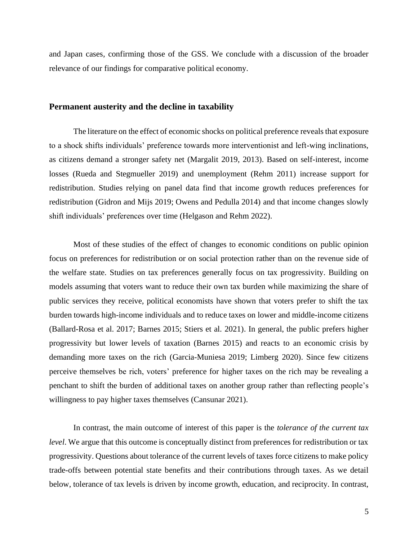and Japan cases, confirming those of the GSS. We conclude with a discussion of the broader relevance of our findings for comparative political economy.

## **Permanent austerity and the decline in taxability**

The literature on the effect of economic shocks on political preference reveals that exposure to a shock shifts individuals' preference towards more interventionist and left-wing inclinations, as citizens demand a stronger safety net (Margalit 2019, 2013). Based on self-interest, income losses (Rueda and Stegmueller 2019) and unemployment (Rehm 2011) increase support for redistribution. Studies relying on panel data find that income growth reduces preferences for redistribution (Gidron and Mijs 2019; Owens and Pedulla 2014) and that income changes slowly shift individuals' preferences over time (Helgason and Rehm 2022).

Most of these studies of the effect of changes to economic conditions on public opinion focus on preferences for redistribution or on social protection rather than on the revenue side of the welfare state. Studies on tax preferences generally focus on tax progressivity. Building on models assuming that voters want to reduce their own tax burden while maximizing the share of public services they receive, political economists have shown that voters prefer to shift the tax burden towards high-income individuals and to reduce taxes on lower and middle-income citizens (Ballard-Rosa et al. 2017; Barnes 2015; Stiers et al. 2021). In general, the public prefers higher progressivity but lower levels of taxation (Barnes 2015) and reacts to an economic crisis by demanding more taxes on the rich (Garcia-Muniesa 2019; Limberg 2020). Since few citizens perceive themselves be rich, voters' preference for higher taxes on the rich may be revealing a penchant to shift the burden of additional taxes on another group rather than reflecting people's willingness to pay higher taxes themselves (Cansunar 2021).

In contrast, the main outcome of interest of this paper is the *tolerance of the current tax level*. We argue that this outcome is conceptually distinct from preferences for redistribution or tax progressivity. Questions about tolerance of the current levels of taxes force citizens to make policy trade-offs between potential state benefits and their contributions through taxes. As we detail below, tolerance of tax levels is driven by income growth, education, and reciprocity. In contrast,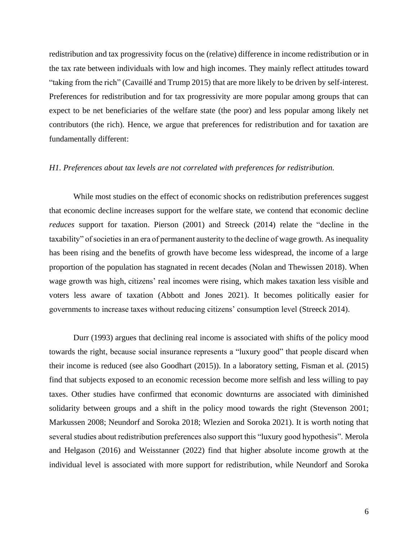redistribution and tax progressivity focus on the (relative) difference in income redistribution or in the tax rate between individuals with low and high incomes. They mainly reflect attitudes toward "taking from the rich" (Cavaillé and Trump 2015) that are more likely to be driven by self-interest. Preferences for redistribution and for tax progressivity are more popular among groups that can expect to be net beneficiaries of the welfare state (the poor) and less popular among likely net contributors (the rich). Hence, we argue that preferences for redistribution and for taxation are fundamentally different:

#### *H1. Preferences about tax levels are not correlated with preferences for redistribution.*

While most studies on the effect of economic shocks on redistribution preferences suggest that economic decline increases support for the welfare state, we contend that economic decline *reduces* support for taxation. Pierson (2001) and Streeck (2014) relate the "decline in the taxability" of societies in an era of permanent austerity to the decline of wage growth. As inequality has been rising and the benefits of growth have become less widespread, the income of a large proportion of the population has stagnated in recent decades (Nolan and Thewissen 2018). When wage growth was high, citizens' real incomes were rising, which makes taxation less visible and voters less aware of taxation (Abbott and Jones 2021). It becomes politically easier for governments to increase taxes without reducing citizens' consumption level (Streeck 2014).

Durr (1993) argues that declining real income is associated with shifts of the policy mood towards the right, because social insurance represents a "luxury good" that people discard when their income is reduced (see also Goodhart (2015)). In a laboratory setting, Fisman et al. (2015) find that subjects exposed to an economic recession become more selfish and less willing to pay taxes. Other studies have confirmed that economic downturns are associated with diminished solidarity between groups and a shift in the policy mood towards the right (Stevenson 2001; Markussen 2008; Neundorf and Soroka 2018; Wlezien and Soroka 2021). It is worth noting that several studies about redistribution preferences also support this "luxury good hypothesis". Merola and Helgason (2016) and Weisstanner (2022) find that higher absolute income growth at the individual level is associated with more support for redistribution, while Neundorf and Soroka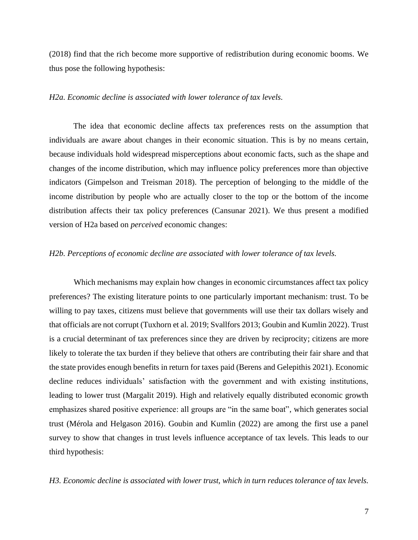(2018) find that the rich become more supportive of redistribution during economic booms. We thus pose the following hypothesis:

## *H2a. Economic decline is associated with lower tolerance of tax levels.*

The idea that economic decline affects tax preferences rests on the assumption that individuals are aware about changes in their economic situation. This is by no means certain, because individuals hold widespread misperceptions about economic facts, such as the shape and changes of the income distribution, which may influence policy preferences more than objective indicators (Gimpelson and Treisman 2018). The perception of belonging to the middle of the income distribution by people who are actually closer to the top or the bottom of the income distribution affects their tax policy preferences (Cansunar 2021). We thus present a modified version of H2a based on *perceived* economic changes:

#### *H2b. Perceptions of economic decline are associated with lower tolerance of tax levels.*

Which mechanisms may explain how changes in economic circumstances affect tax policy preferences? The existing literature points to one particularly important mechanism: trust. To be willing to pay taxes, citizens must believe that governments will use their tax dollars wisely and that officials are not corrupt (Tuxhorn et al. 2019; Svallfors 2013; Goubin and Kumlin 2022). Trust is a crucial determinant of tax preferences since they are driven by reciprocity; citizens are more likely to tolerate the tax burden if they believe that others are contributing their fair share and that the state provides enough benefits in return for taxes paid (Berens and Gelepithis 2021). Economic decline reduces individuals' satisfaction with the government and with existing institutions, leading to lower trust (Margalit 2019). High and relatively equally distributed economic growth emphasizes shared positive experience: all groups are "in the same boat", which generates social trust (Mérola and Helgason 2016). Goubin and Kumlin (2022) are among the first use a panel survey to show that changes in trust levels influence acceptance of tax levels. This leads to our third hypothesis:

*H3. Economic decline is associated with lower trust, which in turn reduces tolerance of tax levels.*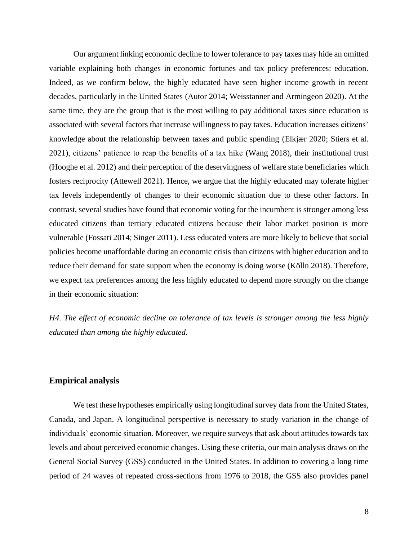Our argument linking economic decline to lower tolerance to pay taxes may hide an omitted variable explaining both changes in economic fortunes and tax policy preferences: education. Indeed, as we confirm below, the highly educated have seen higher income growth in recent decades, particularly in the United States (Autor 2014; Weisstanner and Armingeon 2020). At the same time, they are the group that is the most willing to pay additional taxes since education is associated with several factors that increase willingness to pay taxes. Education increases citizens' knowledge about the relationship between taxes and public spending (Elkjær 2020; Stiers et al. 2021), citizens' patience to reap the benefits of a tax hike (Wang 2018), their institutional trust (Hooghe et al. 2012) and their perception of the deservingness of welfare state beneficiaries which fosters reciprocity (Attewell 2021). Hence, we argue that the highly educated may tolerate higher tax levels independently of changes to their economic situation due to these other factors. In contrast, several studies have found that economic voting for the incumbent is stronger among less educated citizens than tertiary educated citizens because their labor market position is more vulnerable (Fossati 2014; Singer 2011). Less educated voters are more likely to believe that social policies become unaffordable during an economic crisis than citizens with higher education and to reduce their demand for state support when the economy is doing worse (Kölln 2018). Therefore, we expect tax preferences among the less highly educated to depend more strongly on the change in their economic situation:

*H4. The effect of economic decline on tolerance of tax levels is stronger among the less highly educated than among the highly educated.* 

## **Empirical analysis**

We test these hypotheses empirically using longitudinal survey data from the United States, Canada, and Japan. A longitudinal perspective is necessary to study variation in the change of individuals' economic situation. Moreover, we require surveys that ask about attitudes towards tax levels and about perceived economic changes. Using these criteria, our main analysis draws on the General Social Survey (GSS) conducted in the United States. In addition to covering a long time period of 24 waves of repeated cross-sections from 1976 to 2018, the GSS also provides panel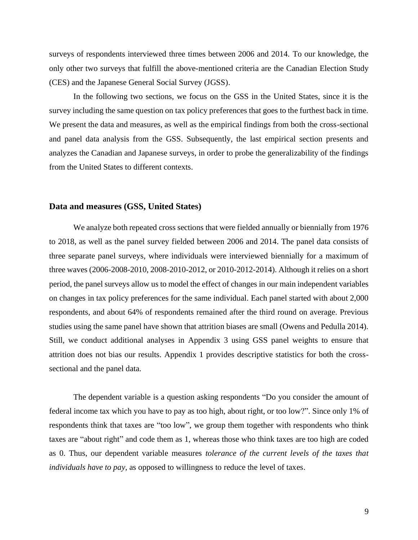surveys of respondents interviewed three times between 2006 and 2014. To our knowledge, the only other two surveys that fulfill the above-mentioned criteria are the Canadian Election Study (CES) and the Japanese General Social Survey (JGSS).

In the following two sections, we focus on the GSS in the United States, since it is the survey including the same question on tax policy preferences that goes to the furthest back in time. We present the data and measures, as well as the empirical findings from both the cross-sectional and panel data analysis from the GSS. Subsequently, the last empirical section presents and analyzes the Canadian and Japanese surveys, in order to probe the generalizability of the findings from the United States to different contexts.

# **Data and measures (GSS, United States)**

We analyze both repeated cross sections that were fielded annually or biennially from 1976 to 2018, as well as the panel survey fielded between 2006 and 2014. The panel data consists of three separate panel surveys, where individuals were interviewed biennially for a maximum of three waves (2006-2008-2010, 2008-2010-2012, or 2010-2012-2014). Although it relies on a short period, the panel surveys allow us to model the effect of changes in our main independent variables on changes in tax policy preferences for the same individual. Each panel started with about 2,000 respondents, and about 64% of respondents remained after the third round on average. Previous studies using the same panel have shown that attrition biases are small (Owens and Pedulla 2014). Still, we conduct additional analyses in Appendix 3 using GSS panel weights to ensure that attrition does not bias our results. Appendix 1 provides descriptive statistics for both the crosssectional and the panel data.

The dependent variable is a question asking respondents "Do you consider the amount of federal income tax which you have to pay as too high, about right, or too low?". Since only 1% of respondents think that taxes are "too low", we group them together with respondents who think taxes are "about right" and code them as 1, whereas those who think taxes are too high are coded as 0. Thus, our dependent variable measures *tolerance of the current levels of the taxes that individuals have to pay*, as opposed to willingness to reduce the level of taxes.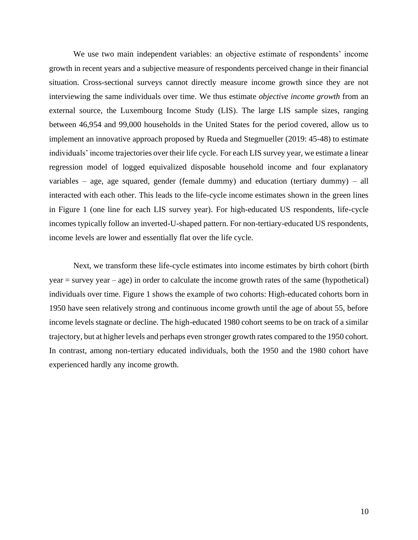We use two main independent variables: an objective estimate of respondents' income growth in recent years and a subjective measure of respondents perceived change in their financial situation. Cross-sectional surveys cannot directly measure income growth since they are not interviewing the same individuals over time. We thus estimate *objective income growth* from an external source, the Luxembourg Income Study (LIS). The large LIS sample sizes, ranging between 46,954 and 99,000 households in the United States for the period covered, allow us to implement an innovative approach proposed by Rueda and Stegmueller (2019: 45-48) to estimate individuals' income trajectories over their life cycle. For each LIS survey year, we estimate a linear regression model of logged equivalized disposable household income and four explanatory variables – age, age squared, gender (female dummy) and education (tertiary dummy) – all interacted with each other. This leads to the life-cycle income estimates shown in the green lines in Figure 1 (one line for each LIS survey year). For high-educated US respondents, life-cycle incomes typically follow an inverted-U-shaped pattern. For non-tertiary-educated US respondents, income levels are lower and essentially flat over the life cycle.

Next, we transform these life-cycle estimates into income estimates by birth cohort (birth year = survey year – age) in order to calculate the income growth rates of the same (hypothetical) individuals over time. Figure 1 shows the example of two cohorts: High-educated cohorts born in 1950 have seen relatively strong and continuous income growth until the age of about 55, before income levels stagnate or decline. The high-educated 1980 cohort seems to be on track of a similar trajectory, but at higher levels and perhaps even stronger growth rates compared to the 1950 cohort. In contrast, among non-tertiary educated individuals, both the 1950 and the 1980 cohort have experienced hardly any income growth.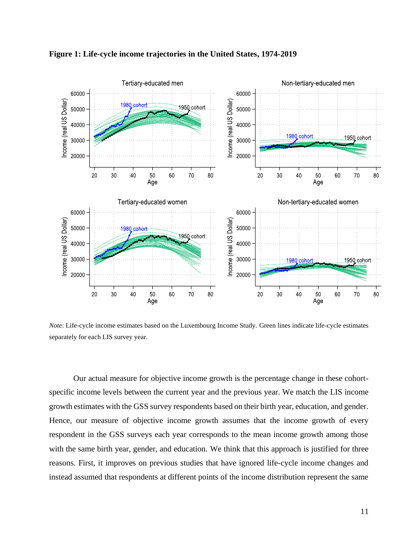

**Figure 1: Life-cycle income trajectories in the United States, 1974-2019**

*Note*: Life-cycle income estimates based on the Luxembourg Income Study. Green lines indicate life-cycle estimates separately for each LIS survey year.

Our actual measure for objective income growth is the percentage change in these cohortspecific income levels between the current year and the previous year. We match the LIS income growth estimates with the GSS survey respondents based on their birth year, education, and gender. Hence, our measure of objective income growth assumes that the income growth of every respondent in the GSS surveys each year corresponds to the mean income growth among those with the same birth year, gender, and education. We think that this approach is justified for three reasons. First, it improves on previous studies that have ignored life-cycle income changes and instead assumed that respondents at different points of the income distribution represent the same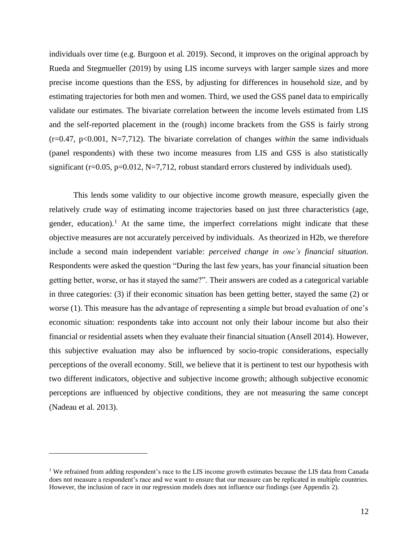individuals over time (e.g. Burgoon et al. 2019). Second, it improves on the original approach by Rueda and Stegmueller (2019) by using LIS income surveys with larger sample sizes and more precise income questions than the ESS, by adjusting for differences in household size, and by estimating trajectories for both men and women. Third, we used the GSS panel data to empirically validate our estimates. The bivariate correlation between the income levels estimated from LIS and the self-reported placement in the (rough) income brackets from the GSS is fairly strong (r=0.47, p<0.001, N=7,712). The bivariate correlation of changes *within* the same individuals (panel respondents) with these two income measures from LIS and GSS is also statistically significant ( $r=0.05$ ,  $p=0.012$ ,  $N=7,712$ , robust standard errors clustered by individuals used).

This lends some validity to our objective income growth measure, especially given the relatively crude way of estimating income trajectories based on just three characteristics (age, gender, education).<sup>1</sup> At the same time, the imperfect correlations might indicate that these objective measures are not accurately perceived by individuals. As theorized in H2b, we therefore include a second main independent variable: *perceived change in one's financial situation*. Respondents were asked the question "During the last few years, has your financial situation been getting better, worse, or has it stayed the same?". Their answers are coded as a categorical variable in three categories: (3) if their economic situation has been getting better, stayed the same (2) or worse (1). This measure has the advantage of representing a simple but broad evaluation of one's economic situation: respondents take into account not only their labour income but also their financial or residential assets when they evaluate their financial situation (Ansell 2014). However, this subjective evaluation may also be influenced by socio-tropic considerations, especially perceptions of the overall economy. Still, we believe that it is pertinent to test our hypothesis with two different indicators, objective and subjective income growth; although subjective economic perceptions are influenced by objective conditions, they are not measuring the same concept (Nadeau et al. 2013).

<sup>&</sup>lt;sup>1</sup> We refrained from adding respondent's race to the LIS income growth estimates because the LIS data from Canada does not measure a respondent's race and we want to ensure that our measure can be replicated in multiple countries. However, the inclusion of race in our regression models does not influence our findings (see Appendix 2).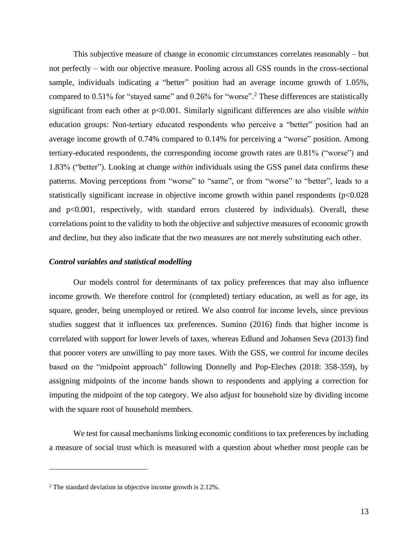This subjective measure of change in economic circumstances correlates reasonably – but not perfectly – with our objective measure. Pooling across all GSS rounds in the cross-sectional sample, individuals indicating a "better" position had an average income growth of 1.05%, compared to 0.51% for "stayed same" and 0.26% for "worse".<sup>2</sup> These differences are statistically significant from each other at p<0.001. Similarly significant differences are also visible *within* education groups: Non-tertiary educated respondents who perceive a "better" position had an average income growth of 0.74% compared to 0.14% for perceiving a "worse" position. Among tertiary-educated respondents, the corresponding income growth rates are 0.81% ("worse") and 1.83% ("better"). Looking at change *within* individuals using the GSS panel data confirms these patterns. Moving perceptions from "worse" to "same", or from "worse" to "better", leads to a statistically significant increase in objective income growth within panel respondents (p<0.028) and p<0.001, respectively, with standard errors clustered by individuals). Overall, these correlations point to the validity to both the objective and subjective measures of economic growth and decline, but they also indicate that the two measures are not merely substituting each other.

#### *Control variables and statistical modelling*

Our models control for determinants of tax policy preferences that may also influence income growth. We therefore control for (completed) tertiary education, as well as for age, its square, gender, being unemployed or retired. We also control for income levels, since previous studies suggest that it influences tax preferences. Sumino (2016) finds that higher income is correlated with support for lower levels of taxes, whereas Edlund and Johansen Seva (2013) find that poorer voters are unwilling to pay more taxes. With the GSS, we control for income deciles based on the "midpoint approach" following Donnelly and Pop-Eleches (2018: 358-359), by assigning midpoints of the income bands shown to respondents and applying a correction for imputing the midpoint of the top category. We also adjust for household size by dividing income with the square root of household members.

We test for causal mechanisms linking economic conditions to tax preferences by including a measure of social trust which is measured with a question about whether most people can be

<sup>&</sup>lt;sup>2</sup> The standard deviation in objective income growth is 2.12%.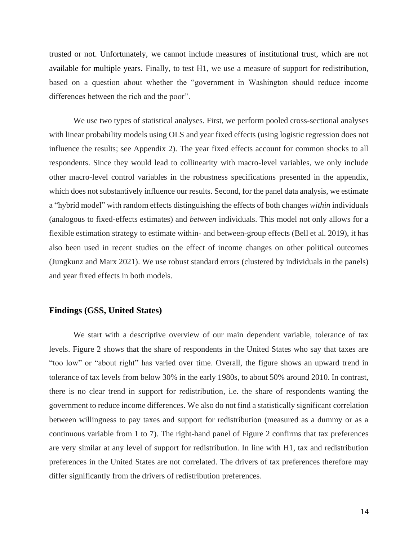trusted or not. Unfortunately, we cannot include measures of institutional trust, which are not available for multiple years. Finally, to test H1, we use a measure of support for redistribution, based on a question about whether the "government in Washington should reduce income differences between the rich and the poor".

We use two types of statistical analyses. First, we perform pooled cross-sectional analyses with linear probability models using OLS and year fixed effects (using logistic regression does not influence the results; see Appendix 2). The year fixed effects account for common shocks to all respondents. Since they would lead to collinearity with macro-level variables, we only include other macro-level control variables in the robustness specifications presented in the appendix, which does not substantively influence our results. Second, for the panel data analysis, we estimate a "hybrid model" with random effects distinguishing the effects of both changes *within* individuals (analogous to fixed-effects estimates) and *between* individuals. This model not only allows for a flexible estimation strategy to estimate within- and between-group effects (Bell et al. 2019), it has also been used in recent studies on the effect of income changes on other political outcomes (Jungkunz and Marx 2021). We use robust standard errors (clustered by individuals in the panels) and year fixed effects in both models.

## **Findings (GSS, United States)**

We start with a descriptive overview of our main dependent variable, tolerance of tax levels. Figure 2 shows that the share of respondents in the United States who say that taxes are "too low" or "about right" has varied over time. Overall, the figure shows an upward trend in tolerance of tax levels from below 30% in the early 1980s, to about 50% around 2010. In contrast, there is no clear trend in support for redistribution, i.e. the share of respondents wanting the government to reduce income differences. We also do not find a statistically significant correlation between willingness to pay taxes and support for redistribution (measured as a dummy or as a continuous variable from 1 to 7). The right-hand panel of Figure 2 confirms that tax preferences are very similar at any level of support for redistribution. In line with H1, tax and redistribution preferences in the United States are not correlated. The drivers of tax preferences therefore may differ significantly from the drivers of redistribution preferences.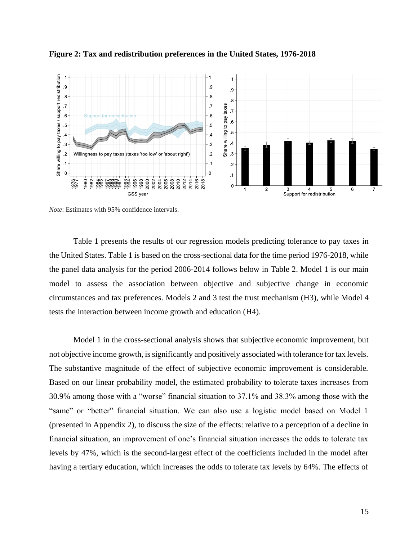

**Figure 2: Tax and redistribution preferences in the United States, 1976-2018**

*Note*: Estimates with 95% confidence intervals.

Table 1 presents the results of our regression models predicting tolerance to pay taxes in the United States. Table 1 is based on the cross-sectional data for the time period 1976-2018, while the panel data analysis for the period 2006-2014 follows below in Table 2. Model 1 is our main model to assess the association between objective and subjective change in economic circumstances and tax preferences. Models 2 and 3 test the trust mechanism (H3), while Model 4 tests the interaction between income growth and education (H4).

Model 1 in the cross-sectional analysis shows that subjective economic improvement, but not objective income growth, is significantly and positively associated with tolerance for tax levels. The substantive magnitude of the effect of subjective economic improvement is considerable. Based on our linear probability model, the estimated probability to tolerate taxes increases from 30.9% among those with a "worse" financial situation to 37.1% and 38.3% among those with the "same" or "better" financial situation. We can also use a logistic model based on Model 1 (presented in Appendix 2), to discuss the size of the effects: relative to a perception of a decline in financial situation, an improvement of one's financial situation increases the odds to tolerate tax levels by 47%, which is the second-largest effect of the coefficients included in the model after having a tertiary education, which increases the odds to tolerate tax levels by 64%. The effects of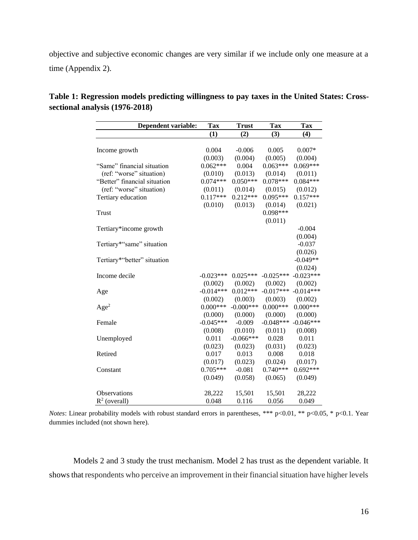objective and subjective economic changes are very similar if we include only one measure at a time (Appendix 2).

| <b>Dependent variable:</b>   | <b>Tax</b>  | <b>Trust</b> | <b>Tax</b>  | <b>Tax</b>  |
|------------------------------|-------------|--------------|-------------|-------------|
|                              | (1)         | (2)          | (3)         | (4)         |
|                              |             |              |             |             |
| Income growth                | 0.004       | $-0.006$     | 0.005       | $0.007*$    |
|                              | (0.003)     | (0.004)      | (0.005)     | (0.004)     |
| "Same" financial situation   | $0.062***$  | 0.004        | $0.063***$  | $0.069***$  |
| (ref: "worse" situation)     | (0.010)     | (0.013)      | (0.014)     | (0.011)     |
| "Better" financial situation | $0.074***$  | $0.050***$   | $0.078***$  | $0.084***$  |
| (ref: "worse" situation)     | (0.011)     | (0.014)      | (0.015)     | (0.012)     |
| Tertiary education           | $0.117***$  | $0.212***$   | $0.095***$  | $0.157***$  |
|                              | (0.010)     | (0.013)      | (0.014)     | (0.021)     |
| Trust                        |             |              | $0.098***$  |             |
|                              |             |              | (0.011)     |             |
| Tertiary*income growth       |             |              |             | $-0.004$    |
|                              |             |              |             | (0.004)     |
| Tertiary*"same" situation    |             |              |             | $-0.037$    |
|                              |             |              |             | (0.026)     |
| Tertiary*"better" situation  |             |              |             | $-0.049**$  |
|                              |             |              |             | (0.024)     |
| Income decile                | $-0.023***$ | $0.025***$   | $-0.025***$ | $-0.023***$ |
|                              | (0.002)     | (0.002)      | (0.002)     | (0.002)     |
| Age                          | $-0.014***$ | $0.012***$   | $-0.017***$ | $-0.014***$ |
|                              | (0.002)     | (0.003)      | (0.003)     | (0.002)     |
| Age <sup>2</sup>             | $0.000***$  | $-0.000$ *** | $0.000***$  | $0.000***$  |
|                              | (0.000)     | (0.000)      | (0.000)     | (0.000)     |
| Female                       | $-0.045***$ | $-0.009$     | $-0.048***$ | $-0.046***$ |
|                              | (0.008)     | (0.010)      | (0.011)     | (0.008)     |
| Unemployed                   | 0.011       | $-0.066***$  | 0.028       | 0.011       |
|                              | (0.023)     | (0.023)      | (0.031)     | (0.023)     |
| Retired                      | 0.017       | 0.013        | 0.008       | 0.018       |
|                              | (0.017)     | (0.023)      | (0.024)     | (0.017)     |
| Constant                     | $0.705***$  | $-0.081$     | $0.740***$  | $0.692***$  |
|                              | (0.049)     | (0.058)      | (0.065)     | (0.049)     |
|                              |             |              |             |             |
| <b>Observations</b>          | 28,222      | 15,501       | 15,501      | 28,222      |
| $R^2$ (overall)              | 0.048       | 0.116        | 0.056       | 0.049       |

| Table 1: Regression models predicting willingness to pay taxes in the United States: Cross- |  |  |  |
|---------------------------------------------------------------------------------------------|--|--|--|
| sectional analysis (1976-2018)                                                              |  |  |  |

*Notes*: Linear probability models with robust standard errors in parentheses, \*\*\* p<0.01, \*\* p<0.05, \* p<0.1. Year dummies included (not shown here).

Models 2 and 3 study the trust mechanism. Model 2 has trust as the dependent variable. It shows that respondents who perceive an improvement in their financial situation have higher levels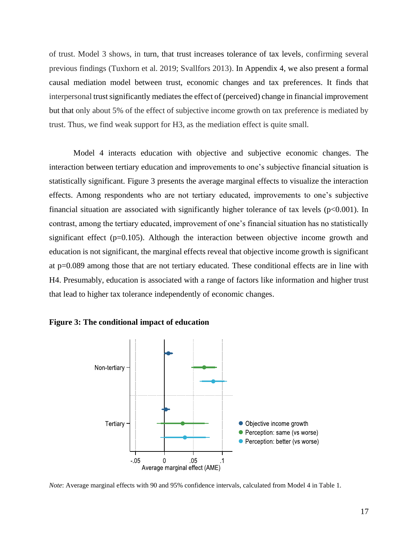of trust. Model 3 shows, in turn, that trust increases tolerance of tax levels, confirming several previous findings (Tuxhorn et al. 2019; Svallfors 2013). In Appendix 4, we also present a formal causal mediation model between trust, economic changes and tax preferences. It finds that interpersonal trust significantly mediates the effect of (perceived) change in financial improvement but that only about 5% of the effect of subjective income growth on tax preference is mediated by trust. Thus, we find weak support for H3, as the mediation effect is quite small.

Model 4 interacts education with objective and subjective economic changes. The interaction between tertiary education and improvements to one's subjective financial situation is statistically significant. Figure 3 presents the average marginal effects to visualize the interaction effects. Among respondents who are not tertiary educated, improvements to one's subjective financial situation are associated with significantly higher tolerance of tax levels  $(p<0.001)$ . In contrast, among the tertiary educated, improvement of one's financial situation has no statistically significant effect (p=0.105). Although the interaction between objective income growth and education is not significant, the marginal effects reveal that objective income growth is significant at p=0.089 among those that are not tertiary educated. These conditional effects are in line with H4. Presumably, education is associated with a range of factors like information and higher trust that lead to higher tax tolerance independently of economic changes.





*Note*: Average marginal effects with 90 and 95% confidence intervals, calculated from Model 4 in Table 1.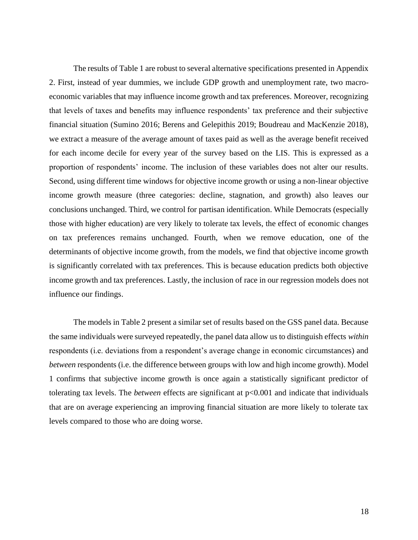The results of Table 1 are robust to several alternative specifications presented in Appendix 2. First, instead of year dummies, we include GDP growth and unemployment rate, two macroeconomic variables that may influence income growth and tax preferences. Moreover, recognizing that levels of taxes and benefits may influence respondents' tax preference and their subjective financial situation (Sumino 2016; Berens and Gelepithis 2019; Boudreau and MacKenzie 2018), we extract a measure of the average amount of taxes paid as well as the average benefit received for each income decile for every year of the survey based on the LIS. This is expressed as a proportion of respondents' income. The inclusion of these variables does not alter our results. Second, using different time windows for objective income growth or using a non-linear objective income growth measure (three categories: decline, stagnation, and growth) also leaves our conclusions unchanged. Third, we control for partisan identification. While Democrats (especially those with higher education) are very likely to tolerate tax levels, the effect of economic changes on tax preferences remains unchanged. Fourth, when we remove education, one of the determinants of objective income growth, from the models, we find that objective income growth is significantly correlated with tax preferences. This is because education predicts both objective income growth and tax preferences. Lastly, the inclusion of race in our regression models does not influence our findings.

The models in Table 2 present a similar set of results based on the GSS panel data. Because the same individuals were surveyed repeatedly, the panel data allow us to distinguish effects *within* respondents (i.e. deviations from a respondent's average change in economic circumstances) and *between* respondents (i.e. the difference between groups with low and high income growth). Model 1 confirms that subjective income growth is once again a statistically significant predictor of tolerating tax levels. The *between* effects are significant at p<0.001 and indicate that individuals that are on average experiencing an improving financial situation are more likely to tolerate tax levels compared to those who are doing worse.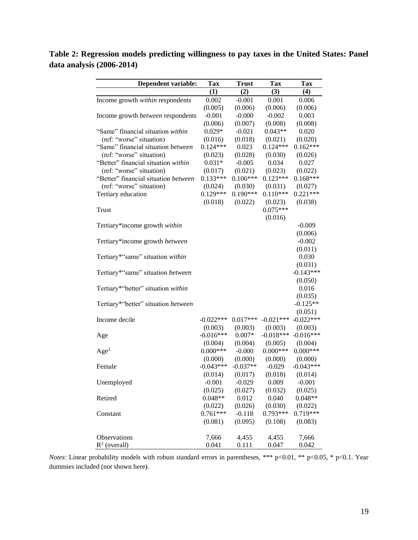**Table 2: Regression models predicting willingness to pay taxes in the United States: Panel data analysis (2006-2014)**

| <b>Dependent variable:</b>               | <b>Tax</b>            | <b>Trust</b>          | Tax                   | <b>Tax</b>  |  |
|------------------------------------------|-----------------------|-----------------------|-----------------------|-------------|--|
|                                          | (1)                   | (2)                   | (3)                   | (4)         |  |
| Income growth within respondents         | 0.002                 | $-0.001$              | 0.001                 | 0.006       |  |
|                                          | (0.005)               | (0.006)               | (0.006)               | (0.006)     |  |
| Income growth <i>between</i> respondents | $-0.001$              | $-0.000$              | $-0.002$              | 0.003       |  |
|                                          | (0.006)               | (0.007)               | (0.008)               | (0.008)     |  |
| "Same" financial situation within        | $0.029*$              | $-0.021$              | $0.043**$             | 0.020       |  |
| (ref: "worse" situation)                 | (0.016)               | (0.018)               | (0.021)               | (0.020)     |  |
| "Same" financial situation between       | $0.124***$            | 0.023                 | $0.124***$            | $0.162***$  |  |
| (ref: "worse" situation)                 | (0.023)               | (0.028)               | (0.030)               | (0.026)     |  |
| "Better" financial situation within      | $0.031*$              | $-0.005$              | 0.034                 | 0.027       |  |
| (ref: "worse" situation)                 |                       |                       |                       |             |  |
|                                          | (0.017)<br>$0.133***$ | (0.021)<br>$0.106***$ | (0.023)<br>$0.123***$ | (0.022)     |  |
| "Better" financial situation between     |                       |                       |                       | $0.168***$  |  |
| (ref: "worse" situation)                 | (0.024)               | (0.030)               | (0.031)               | (0.027)     |  |
| Tertiary education                       | $0.129***$            | $0.190***$            | $0.110***$            | $0.221***$  |  |
|                                          | (0.018)               | (0.022)               | (0.023)               | (0.038)     |  |
| Trust                                    |                       |                       | $0.075***$            |             |  |
|                                          |                       |                       | (0.016)               |             |  |
| Tertiary*income growth within            |                       |                       |                       | $-0.009$    |  |
|                                          |                       |                       |                       | (0.006)     |  |
| Tertiary*income growth between           |                       |                       |                       | $-0.002$    |  |
|                                          |                       |                       |                       | (0.011)     |  |
| Tertiary*"same" situation within         |                       |                       |                       | 0.030       |  |
|                                          |                       |                       |                       | (0.031)     |  |
| Tertiary*"same" situation between        |                       |                       |                       | $-0.143***$ |  |
|                                          |                       |                       |                       | (0.050)     |  |
| Tertiary*"better" situation within       |                       |                       |                       | 0.016       |  |
|                                          |                       |                       |                       | (0.035)     |  |
| Tertiary*"better" situation between      |                       |                       |                       | $-0.125**$  |  |
|                                          |                       |                       |                       | (0.051)     |  |
| Income decile                            | $-0.022***$           | $0.017***$            | $-0.021***$           | $-0.022***$ |  |
|                                          | (0.003)               | (0.003)               | (0.003)               | (0.003)     |  |
| Age                                      | $-0.016***$           | $0.007*$              | $-0.018***$           | $-0.016***$ |  |
|                                          | (0.004)               | (0.004)               | (0.005)               | (0.004)     |  |
| Age <sup>2</sup>                         | $0.000***$            | $-0.000$              | $0.000***$            | $0.000***$  |  |
|                                          | (0.000)               | (0.000)               | (0.000)               | (0.000)     |  |
| Female                                   | $-0.043***$           | $-0.037**$            | $-0.029$              | $-0.043***$ |  |
|                                          | (0.014)               | (0.017)               | (0.018)               | (0.014)     |  |
| Unemployed                               | $-0.001$              | $-0.029$              | 0.009                 | $-0.001$    |  |
|                                          | (0.025)               | (0.027)               | (0.032)               | (0.025)     |  |
| Retired                                  | $0.048**$             | 0.012                 | 0.040                 | $0.048**$   |  |
|                                          | (0.022)               | (0.026)               | (0.030)               | (0.022)     |  |
| Constant                                 | $0.761***$            | $-0.118$              | $0.793***$            | $0.719***$  |  |
|                                          | (0.081)               | (0.095)               | (0.108)               | (0.083)     |  |
|                                          |                       |                       |                       |             |  |
| Observations                             | 7,666                 | 4,455                 | 4,455                 | 7,666       |  |
| $R^2$ (overall)                          | 0.041                 | 0.111                 | 0.047                 | 0.042       |  |
|                                          |                       |                       |                       |             |  |

*Notes*: Linear probability models with robust standard errors in parentheses, \*\*\* p<0.01, \*\* p<0.05, \* p<0.1. Year dummies included (not shown here).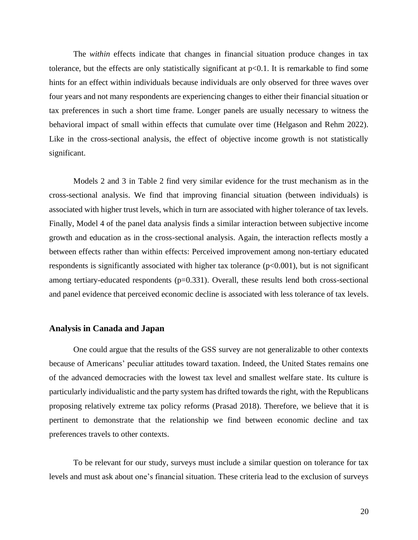The *within* effects indicate that changes in financial situation produce changes in tax tolerance, but the effects are only statistically significant at  $p<0.1$ . It is remarkable to find some hints for an effect within individuals because individuals are only observed for three waves over four years and not many respondents are experiencing changes to either their financial situation or tax preferences in such a short time frame. Longer panels are usually necessary to witness the behavioral impact of small within effects that cumulate over time (Helgason and Rehm 2022). Like in the cross-sectional analysis, the effect of objective income growth is not statistically significant.

Models 2 and 3 in Table 2 find very similar evidence for the trust mechanism as in the cross-sectional analysis. We find that improving financial situation (between individuals) is associated with higher trust levels, which in turn are associated with higher tolerance of tax levels. Finally, Model 4 of the panel data analysis finds a similar interaction between subjective income growth and education as in the cross-sectional analysis. Again, the interaction reflects mostly a between effects rather than within effects: Perceived improvement among non-tertiary educated respondents is significantly associated with higher tax tolerance  $(p<0.001)$ , but is not significant among tertiary-educated respondents (p=0.331). Overall, these results lend both cross-sectional and panel evidence that perceived economic decline is associated with less tolerance of tax levels.

### **Analysis in Canada and Japan**

One could argue that the results of the GSS survey are not generalizable to other contexts because of Americans' peculiar attitudes toward taxation. Indeed, the United States remains one of the advanced democracies with the lowest tax level and smallest welfare state. Its culture is particularly individualistic and the party system has drifted towards the right, with the Republicans proposing relatively extreme tax policy reforms (Prasad 2018). Therefore, we believe that it is pertinent to demonstrate that the relationship we find between economic decline and tax preferences travels to other contexts.

To be relevant for our study, surveys must include a similar question on tolerance for tax levels and must ask about one's financial situation. These criteria lead to the exclusion of surveys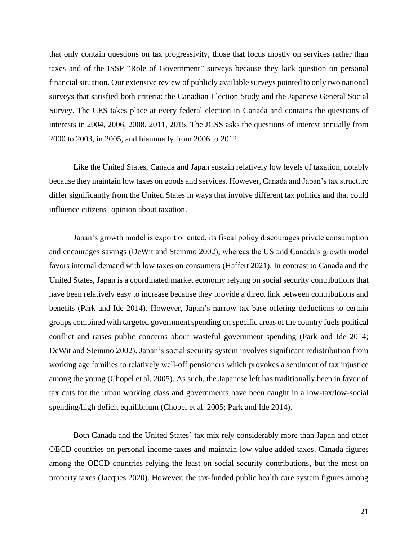that only contain questions on tax progressivity, those that focus mostly on services rather than taxes and of the ISSP "Role of Government" surveys because they lack question on personal financial situation. Our extensive review of publicly available surveys pointed to only two national surveys that satisfied both criteria: the Canadian Election Study and the Japanese General Social Survey. The CES takes place at every federal election in Canada and contains the questions of interests in 2004, 2006, 2008, 2011, 2015. The JGSS asks the questions of interest annually from 2000 to 2003, in 2005, and biannually from 2006 to 2012.

Like the United States, Canada and Japan sustain relatively low levels of taxation, notably because they maintain low taxes on goods and services. However, Canada and Japan's tax structure differ significantly from the United States in ways that involve different tax politics and that could influence citizens' opinion about taxation.

Japan's growth model is export oriented, its fiscal policy discourages private consumption and encourages savings (DeWit and Steinmo 2002), whereas the US and Canada's growth model favors internal demand with low taxes on consumers (Haffert 2021). In contrast to Canada and the United States, Japan is a coordinated market economy relying on social security contributions that have been relatively easy to increase because they provide a direct link between contributions and benefits (Park and Ide 2014). However, Japan's narrow tax base offering deductions to certain groups combined with targeted government spending on specific areas of the country fuels political conflict and raises public concerns about wasteful government spending (Park and Ide 2014; DeWit and Steinmo 2002). Japan's social security system involves significant redistribution from working age families to relatively well-off pensioners which provokes a sentiment of tax injustice among the young (Chopel et al. 2005). As such, the Japanese left has traditionally been in favor of tax cuts for the urban working class and governments have been caught in a low-tax/low-social spending/high deficit equilibrium (Chopel et al. 2005; Park and Ide 2014).

Both Canada and the United States' tax mix rely considerably more than Japan and other OECD countries on personal income taxes and maintain low value added taxes. Canada figures among the OECD countries relying the least on social security contributions, but the most on property taxes (Jacques 2020). However, the tax-funded public health care system figures among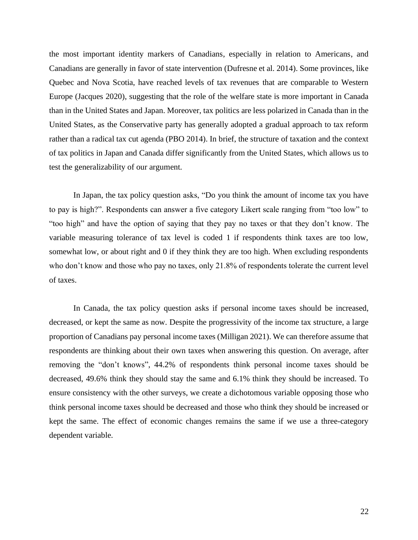the most important identity markers of Canadians, especially in relation to Americans, and Canadians are generally in favor of state intervention (Dufresne et al. 2014). Some provinces, like Quebec and Nova Scotia, have reached levels of tax revenues that are comparable to Western Europe (Jacques 2020), suggesting that the role of the welfare state is more important in Canada than in the United States and Japan. Moreover, tax politics are less polarized in Canada than in the United States, as the Conservative party has generally adopted a gradual approach to tax reform rather than a radical tax cut agenda (PBO 2014). In brief, the structure of taxation and the context of tax politics in Japan and Canada differ significantly from the United States, which allows us to test the generalizability of our argument.

In Japan, the tax policy question asks, "Do you think the amount of income tax you have to pay is high?". Respondents can answer a five category Likert scale ranging from "too low" to "too high" and have the option of saying that they pay no taxes or that they don't know. The variable measuring tolerance of tax level is coded 1 if respondents think taxes are too low, somewhat low, or about right and 0 if they think they are too high. When excluding respondents who don't know and those who pay no taxes, only 21.8% of respondents tolerate the current level of taxes.

In Canada, the tax policy question asks if personal income taxes should be increased, decreased, or kept the same as now. Despite the progressivity of the income tax structure, a large proportion of Canadians pay personal income taxes (Milligan 2021). We can therefore assume that respondents are thinking about their own taxes when answering this question. On average, after removing the "don't knows", 44.2% of respondents think personal income taxes should be decreased, 49.6% think they should stay the same and 6.1% think they should be increased. To ensure consistency with the other surveys, we create a dichotomous variable opposing those who think personal income taxes should be decreased and those who think they should be increased or kept the same. The effect of economic changes remains the same if we use a three-category dependent variable.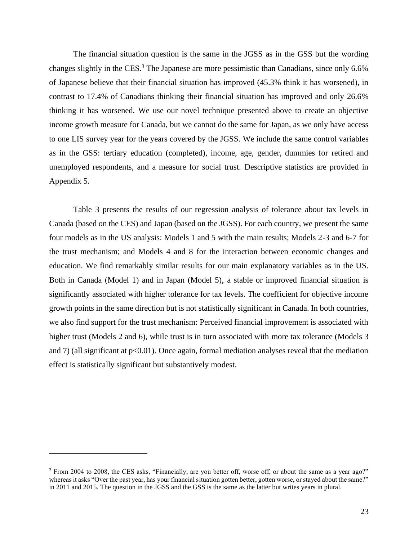The financial situation question is the same in the JGSS as in the GSS but the wording changes slightly in the CES.<sup>3</sup> The Japanese are more pessimistic than Canadians, since only 6.6% of Japanese believe that their financial situation has improved (45.3% think it has worsened), in contrast to 17.4% of Canadians thinking their financial situation has improved and only 26.6% thinking it has worsened. We use our novel technique presented above to create an objective income growth measure for Canada, but we cannot do the same for Japan, as we only have access to one LIS survey year for the years covered by the JGSS. We include the same control variables as in the GSS: tertiary education (completed), income, age, gender, dummies for retired and unemployed respondents, and a measure for social trust. Descriptive statistics are provided in Appendix 5.

Table 3 presents the results of our regression analysis of tolerance about tax levels in Canada (based on the CES) and Japan (based on the JGSS). For each country, we present the same four models as in the US analysis: Models 1 and 5 with the main results; Models 2-3 and 6-7 for the trust mechanism; and Models 4 and 8 for the interaction between economic changes and education. We find remarkably similar results for our main explanatory variables as in the US. Both in Canada (Model 1) and in Japan (Model 5), a stable or improved financial situation is significantly associated with higher tolerance for tax levels. The coefficient for objective income growth points in the same direction but is not statistically significant in Canada. In both countries, we also find support for the trust mechanism: Perceived financial improvement is associated with higher trust (Models 2 and 6), while trust is in turn associated with more tax tolerance (Models 3 and 7) (all significant at  $p<0.01$ ). Once again, formal mediation analyses reveal that the mediation effect is statistically significant but substantively modest.

<sup>&</sup>lt;sup>3</sup> From 2004 to 2008, the CES asks, "Financially, are you better off, worse off, or about the same as a year ago?" whereas it asks "Over the past year, has your financial situation gotten better, gotten worse, or stayed about the same?" in 2011 and 2015. The question in the JGSS and the GSS is the same as the latter but writes years in plural.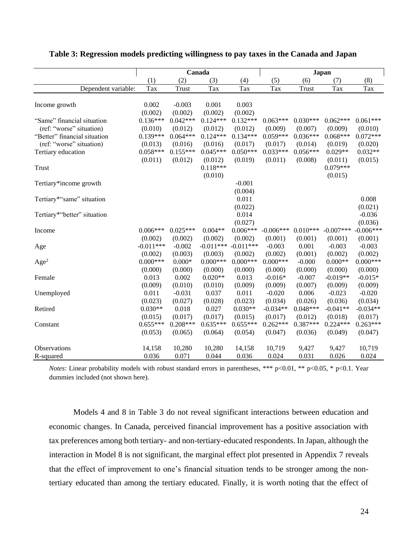|                              | Canada      |            |                         | Japan      |             |            |             |             |
|------------------------------|-------------|------------|-------------------------|------------|-------------|------------|-------------|-------------|
|                              | (1)         | (2)        | (3)                     | (4)        | (5)         | (6)        | (7)         | (8)         |
| Dependent variable:          | Tax         | Trust      | Tax                     | Tax        | Tax         | Trust      | Tax         | Tax         |
|                              |             |            |                         |            |             |            |             |             |
| Income growth                | 0.002       | $-0.003$   | 0.001                   | 0.003      |             |            |             |             |
|                              | (0.002)     | (0.002)    | (0.002)                 | (0.002)    |             |            |             |             |
| "Same" financial situation   | $0.136***$  | $0.042***$ | $0.124***$              | $0.132***$ | $0.063***$  | $0.030***$ | $0.062***$  | $0.061***$  |
| (ref: "worse" situation)     | (0.010)     | (0.012)    | (0.012)                 | (0.012)    | (0.009)     | (0.007)    | (0.009)     | (0.010)     |
| "Better" financial situation | $0.139***$  | $0.064***$ | $0.124***$              | $0.134***$ | $0.059***$  | $0.036***$ | $0.068***$  | $0.072***$  |
| (ref: "worse" situation)     | (0.013)     | (0.016)    | (0.016)                 | (0.017)    | (0.017)     | (0.014)    | (0.019)     | (0.020)     |
| Tertiary education           | $0.058***$  | $0.155***$ | $0.045***$              | $0.050***$ | $0.033***$  | $0.056***$ | $0.029**$   | $0.032**$   |
|                              | (0.011)     | (0.012)    | (0.012)                 | (0.019)    | (0.011)     | (0.008)    | (0.011)     | (0.015)     |
| Trust                        |             |            | $0.118***$              |            |             |            | $0.079***$  |             |
|                              |             |            | (0.010)                 |            |             |            | (0.015)     |             |
| Tertiary*income growth       |             |            |                         | $-0.001$   |             |            |             |             |
|                              |             |            |                         | (0.004)    |             |            |             |             |
| Tertiary*"same" situation    |             |            |                         | 0.011      |             |            |             | 0.008       |
|                              |             |            |                         | (0.022)    |             |            |             | (0.021)     |
| Tertiary*"better" situation  |             |            |                         | 0.014      |             |            |             | $-0.036$    |
|                              |             |            |                         | (0.027)    |             |            |             | (0.036)     |
| Income                       | $0.006***$  | $0.025***$ | $0.004**$               | $0.006***$ | $-0.006***$ | $0.010***$ | $-0.007***$ | $-0.006***$ |
|                              | (0.002)     | (0.002)    | (0.002)                 | (0.002)    | (0.001)     | (0.001)    | (0.001)     | (0.001)     |
| Age                          | $-0.011***$ | $-0.002$   | $-0.011***$ $-0.011***$ |            | $-0.003$    | 0.001      | $-0.003$    | $-0.003$    |
|                              | (0.002)     | (0.003)    | (0.003)                 | (0.002)    | (0.002)     | (0.001)    | (0.002)     | (0.002)     |
| Age <sup>2</sup>             | $0.000***$  | $0.000*$   | $0.000***$              | $0.000***$ | $0.000***$  | $-0.000$   | $0.000**$   | $0.000***$  |
|                              | (0.000)     | (0.000)    | (0.000)                 | (0.000)    | (0.000)     | (0.000)    | (0.000)     | (0.000)     |
| Female                       | 0.013       | 0.002      | $0.020**$               | 0.013      | $-0.016*$   | $-0.007$   | $-0.019**$  | $-0.015*$   |
|                              | (0.009)     | (0.010)    | (0.010)                 | (0.009)    | (0.009)     | (0.007)    | (0.009)     | (0.009)     |
| Unemployed                   | 0.011       | $-0.031$   | 0.037                   | 0.011      | $-0.020$    | 0.006      | $-0.023$    | $-0.020$    |
|                              | (0.023)     | (0.027)    | (0.028)                 | (0.023)    | (0.034)     | (0.026)    | (0.036)     | (0.034)     |
| Retired                      | $0.030**$   | 0.018      | 0.027                   | $0.030**$  | $-0.034**$  | $0.048***$ | $-0.041**$  | $-0.034**$  |
|                              | (0.015)     | (0.017)    | (0.017)                 | (0.015)    | (0.017)     | (0.012)    | (0.018)     | (0.017)     |
| Constant                     | $0.655***$  | $0.208***$ | $0.635***$              | $0.655***$ | $0.262***$  | $0.387***$ | $0.224***$  | $0.263***$  |
|                              | (0.053)     | (0.065)    | (0.064)                 | (0.054)    | (0.047)     | (0.036)    | (0.049)     | (0.047)     |
|                              |             |            |                         |            |             |            |             |             |
| <b>Observations</b>          | 14,158      | 10,280     | 10,280                  | 14,158     | 10,719      | 9,427      | 9,427       | 10,719      |
| R-squared                    | 0.036       | 0.071      | 0.044                   | 0.036      | 0.024       | 0.031      | 0.026       | 0.024       |

#### **Table 3: Regression models predicting willingness to pay taxes in the Canada and Japan**

*Notes*: Linear probability models with robust standard errors in parentheses, \*\*\* p<0.01, \*\* p<0.05, \* p<0.1. Year dummies included (not shown here).

Models 4 and 8 in Table 3 do not reveal significant interactions between education and economic changes. In Canada, perceived financial improvement has a positive association with tax preferences among both tertiary- and non-tertiary-educated respondents. In Japan, although the interaction in Model 8 is not significant, the marginal effect plot presented in Appendix 7 reveals that the effect of improvement to one's financial situation tends to be stronger among the nontertiary educated than among the tertiary educated. Finally, it is worth noting that the effect of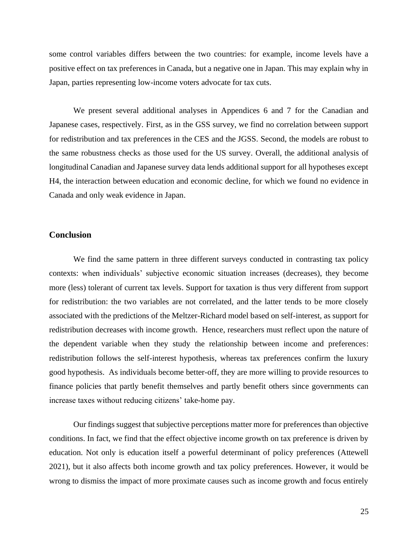some control variables differs between the two countries: for example, income levels have a positive effect on tax preferences in Canada, but a negative one in Japan. This may explain why in Japan, parties representing low-income voters advocate for tax cuts.

We present several additional analyses in Appendices 6 and 7 for the Canadian and Japanese cases, respectively. First, as in the GSS survey, we find no correlation between support for redistribution and tax preferences in the CES and the JGSS. Second, the models are robust to the same robustness checks as those used for the US survey. Overall, the additional analysis of longitudinal Canadian and Japanese survey data lends additional support for all hypotheses except H4, the interaction between education and economic decline, for which we found no evidence in Canada and only weak evidence in Japan.

# **Conclusion**

We find the same pattern in three different surveys conducted in contrasting tax policy contexts: when individuals' subjective economic situation increases (decreases), they become more (less) tolerant of current tax levels. Support for taxation is thus very different from support for redistribution: the two variables are not correlated, and the latter tends to be more closely associated with the predictions of the Meltzer-Richard model based on self-interest, as support for redistribution decreases with income growth. Hence, researchers must reflect upon the nature of the dependent variable when they study the relationship between income and preferences: redistribution follows the self-interest hypothesis, whereas tax preferences confirm the luxury good hypothesis. As individuals become better-off, they are more willing to provide resources to finance policies that partly benefit themselves and partly benefit others since governments can increase taxes without reducing citizens' take-home pay.

Our findings suggest that subjective perceptions matter more for preferences than objective conditions. In fact, we find that the effect objective income growth on tax preference is driven by education. Not only is education itself a powerful determinant of policy preferences (Attewell 2021), but it also affects both income growth and tax policy preferences. However, it would be wrong to dismiss the impact of more proximate causes such as income growth and focus entirely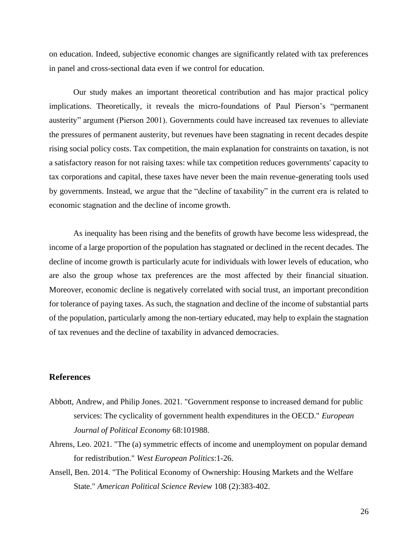on education. Indeed, subjective economic changes are significantly related with tax preferences in panel and cross-sectional data even if we control for education.

Our study makes an important theoretical contribution and has major practical policy implications. Theoretically, it reveals the micro-foundations of Paul Pierson's "permanent austerity" argument (Pierson 2001). Governments could have increased tax revenues to alleviate the pressures of permanent austerity, but revenues have been stagnating in recent decades despite rising social policy costs. Tax competition, the main explanation for constraints on taxation, is not a satisfactory reason for not raising taxes: while tax competition reduces governments' capacity to tax corporations and capital, these taxes have never been the main revenue-generating tools used by governments. Instead, we argue that the "decline of taxability" in the current era is related to economic stagnation and the decline of income growth.

As inequality has been rising and the benefits of growth have become less widespread, the income of a large proportion of the population has stagnated or declined in the recent decades. The decline of income growth is particularly acute for individuals with lower levels of education, who are also the group whose tax preferences are the most affected by their financial situation. Moreover, economic decline is negatively correlated with social trust, an important precondition for tolerance of paying taxes. As such, the stagnation and decline of the income of substantial parts of the population, particularly among the non-tertiary educated, may help to explain the stagnation of tax revenues and the decline of taxability in advanced democracies.

# **References**

- Abbott, Andrew, and Philip Jones. 2021. "Government response to increased demand for public services: The cyclicality of government health expenditures in the OECD." *European Journal of Political Economy* 68:101988.
- Ahrens, Leo. 2021. "The (a) symmetric effects of income and unemployment on popular demand for redistribution." *West European Politics*:1-26.
- Ansell, Ben. 2014. "The Political Economy of Ownership: Housing Markets and the Welfare State." *American Political Science Review* 108 (2):383-402.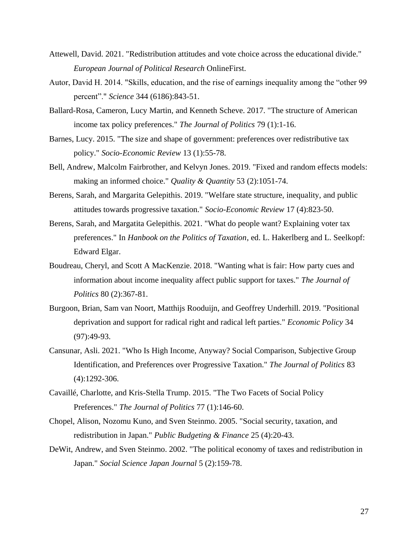- Attewell, David. 2021. "Redistribution attitudes and vote choice across the educational divide." *European Journal of Political Research* OnlineFirst.
- Autor, David H. 2014. "Skills, education, and the rise of earnings inequality among the "other 99 percent"." *Science* 344 (6186):843-51.
- Ballard-Rosa, Cameron, Lucy Martin, and Kenneth Scheve. 2017. "The structure of American income tax policy preferences." *The Journal of Politics* 79 (1):1-16.
- Barnes, Lucy. 2015. "The size and shape of government: preferences over redistributive tax policy." *Socio-Economic Review* 13 (1):55-78.
- Bell, Andrew, Malcolm Fairbrother, and Kelvyn Jones. 2019. "Fixed and random effects models: making an informed choice." *Quality & Quantity* 53 (2):1051-74.
- Berens, Sarah, and Margarita Gelepithis. 2019. "Welfare state structure, inequality, and public attitudes towards progressive taxation." *Socio-Economic Review* 17 (4):823-50.
- Berens, Sarah, and Margatita Gelepithis. 2021. "What do people want? Explaining voter tax preferences." In *Hanbook on the Politics of Taxation*, ed. L. Hakerlberg and L. Seelkopf: Edward Elgar.
- Boudreau, Cheryl, and Scott A MacKenzie. 2018. "Wanting what is fair: How party cues and information about income inequality affect public support for taxes." *The Journal of Politics* 80 (2):367-81.
- Burgoon, Brian, Sam van Noort, Matthijs Rooduijn, and Geoffrey Underhill. 2019. "Positional deprivation and support for radical right and radical left parties." *Economic Policy* 34 (97):49-93.
- Cansunar, Asli. 2021. "Who Is High Income, Anyway? Social Comparison, Subjective Group Identification, and Preferences over Progressive Taxation." *The Journal of Politics* 83 (4):1292-306.
- Cavaillé, Charlotte, and Kris-Stella Trump. 2015. "The Two Facets of Social Policy Preferences." *The Journal of Politics* 77 (1):146-60.
- Chopel, Alison, Nozomu Kuno, and Sven Steinmo. 2005. "Social security, taxation, and redistribution in Japan." *Public Budgeting & Finance* 25 (4):20-43.
- DeWit, Andrew, and Sven Steinmo. 2002. "The political economy of taxes and redistribution in Japan." *Social Science Japan Journal* 5 (2):159-78.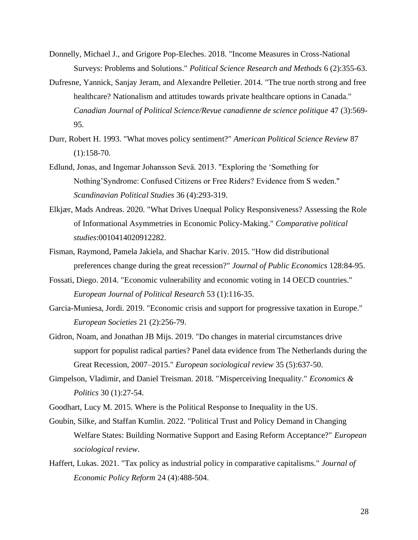- Donnelly, Michael J., and Grigore Pop-Eleches. 2018. "Income Measures in Cross-National Surveys: Problems and Solutions." *Political Science Research and Methods* 6 (2):355-63.
- Dufresne, Yannick, Sanjay Jeram, and Alexandre Pelletier. 2014. "The true north strong and free healthcare? Nationalism and attitudes towards private healthcare options in Canada." *Canadian Journal of Political Science/Revue canadienne de science politique* 47 (3):569- 95.
- Durr, Robert H. 1993. "What moves policy sentiment?" *American Political Science Review* 87  $(1):158-70.$
- Edlund, Jonas, and Ingemar Johansson Sevä. 2013. "Exploring the 'Something for Nothing'Syndrome: Confused Citizens or Free Riders? Evidence from S weden." *Scandinavian Political Studies* 36 (4):293-319.
- Elkjær, Mads Andreas. 2020. "What Drives Unequal Policy Responsiveness? Assessing the Role of Informational Asymmetries in Economic Policy-Making." *Comparative political studies*:0010414020912282.
- Fisman, Raymond, Pamela Jakiela, and Shachar Kariv. 2015. "How did distributional preferences change during the great recession?" *Journal of Public Economics* 128:84-95.
- Fossati, Diego. 2014. "Economic vulnerability and economic voting in 14 OECD countries." *European Journal of Political Research* 53 (1):116-35.
- Garcia-Muniesa, Jordi. 2019. "Economic crisis and support for progressive taxation in Europe." *European Societies* 21 (2):256-79.
- Gidron, Noam, and Jonathan JB Mijs. 2019. "Do changes in material circumstances drive support for populist radical parties? Panel data evidence from The Netherlands during the Great Recession, 2007–2015." *European sociological review* 35 (5):637-50.
- Gimpelson, Vladimir, and Daniel Treisman. 2018. "Misperceiving Inequality." *Economics & Politics* 30 (1):27-54.
- Goodhart, Lucy M. 2015. Where is the Political Response to Inequality in the US.
- Goubin, Silke, and Staffan Kumlin. 2022. "Political Trust and Policy Demand in Changing Welfare States: Building Normative Support and Easing Reform Acceptance?" *European sociological review*.
- Haffert, Lukas. 2021. "Tax policy as industrial policy in comparative capitalisms." *Journal of Economic Policy Reform* 24 (4):488-504.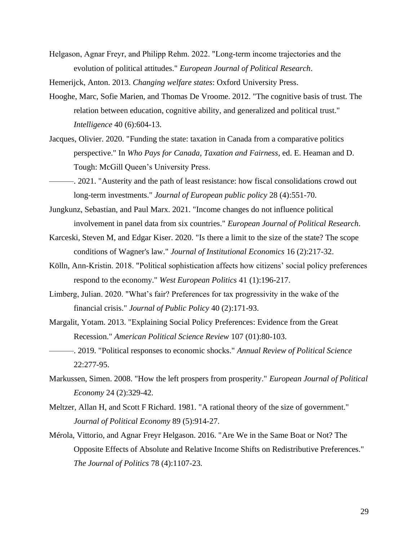Helgason, Agnar Freyr, and Philipp Rehm. 2022. "Long‐term income trajectories and the evolution of political attitudes." *European Journal of Political Research*.

Hemerijck, Anton. 2013. *Changing welfare states*: Oxford University Press.

- Hooghe, Marc, Sofie Marien, and Thomas De Vroome. 2012. "The cognitive basis of trust. The relation between education, cognitive ability, and generalized and political trust." *Intelligence* 40 (6):604-13.
- Jacques, Olivier. 2020. "Funding the state: taxation in Canada from a comparative politics perspective." In *Who Pays for Canada, Taxation and Fairness*, ed. E. Heaman and D. Tough: McGill Queen's University Press.

———. 2021. "Austerity and the path of least resistance: how fiscal consolidations crowd out long-term investments." *Journal of European public policy* 28 (4):551-70.

- Jungkunz, Sebastian, and Paul Marx. 2021. "Income changes do not influence political involvement in panel data from six countries." *European Journal of Political Research*.
- Karceski, Steven M, and Edgar Kiser. 2020. "Is there a limit to the size of the state? The scope conditions of Wagner's law." *Journal of Institutional Economics* 16 (2):217-32.
- Kölln, Ann-Kristin. 2018. "Political sophistication affects how citizens' social policy preferences respond to the economy." *West European Politics* 41 (1):196-217.
- Limberg, Julian. 2020. "What's fair? Preferences for tax progressivity in the wake of the financial crisis." *Journal of Public Policy* 40 (2):171-93.
- Margalit, Yotam. 2013. "Explaining Social Policy Preferences: Evidence from the Great Recession." *American Political Science Review* 107 (01):80-103.
- ———. 2019. "Political responses to economic shocks." *Annual Review of Political Science* 22:277-95.
- Markussen, Simen. 2008. "How the left prospers from prosperity." *European Journal of Political Economy* 24 (2):329-42.
- Meltzer, Allan H, and Scott F Richard. 1981. "A rational theory of the size of government." *Journal of Political Economy* 89 (5):914-27.
- Mérola, Vittorio, and Agnar Freyr Helgason. 2016. "Are We in the Same Boat or Not? The Opposite Effects of Absolute and Relative Income Shifts on Redistributive Preferences." *The Journal of Politics* 78 (4):1107-23.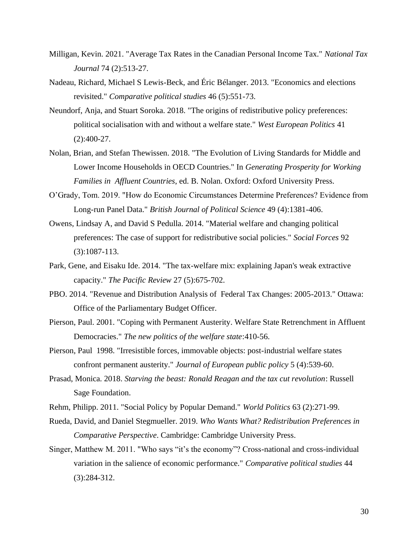- Milligan, Kevin. 2021. "Average Tax Rates in the Canadian Personal Income Tax." *National Tax Journal* 74 (2):513-27.
- Nadeau, Richard, Michael S Lewis-Beck, and Éric Bélanger. 2013. "Economics and elections revisited." *Comparative political studies* 46 (5):551-73.
- Neundorf, Anja, and Stuart Soroka. 2018. "The origins of redistributive policy preferences: political socialisation with and without a welfare state." *West European Politics* 41 (2):400-27.
- Nolan, Brian, and Stefan Thewissen. 2018. "The Evolution of Living Standards for Middle and Lower Income Households in OECD Countries." In *Generating Prosperity for Working Families in Affluent Countries*, ed. B. Nolan. Oxford: Oxford University Press.
- O'Grady, Tom. 2019. "How do Economic Circumstances Determine Preferences? Evidence from Long-run Panel Data." *British Journal of Political Science* 49 (4):1381-406.
- Owens, Lindsay A, and David S Pedulla. 2014. "Material welfare and changing political preferences: The case of support for redistributive social policies." *Social Forces* 92 (3):1087-113.
- Park, Gene, and Eisaku Ide. 2014. "The tax-welfare mix: explaining Japan's weak extractive capacity." *The Pacific Review* 27 (5):675-702.
- PBO. 2014. "Revenue and Distribution Analysis of Federal Tax Changes: 2005-2013." Ottawa: Office of the Parliamentary Budget Officer.
- Pierson, Paul. 2001. "Coping with Permanent Austerity. Welfare State Retrenchment in Affluent Democracies." *The new politics of the welfare state*:410-56.
- Pierson, Paul 1998. "Irresistible forces, immovable objects: post-industrial welfare states confront permanent austerity." *Journal of European public policy* 5 (4):539-60.
- Prasad, Monica. 2018. *Starving the beast: Ronald Reagan and the tax cut revolution*: Russell Sage Foundation.
- Rehm, Philipp. 2011. "Social Policy by Popular Demand." *World Politics* 63 (2):271-99.
- Rueda, David, and Daniel Stegmueller. 2019. *Who Wants What? Redistribution Preferences in Comparative Perspective*. Cambridge: Cambridge University Press.
- Singer, Matthew M. 2011. "Who says "it's the economy"? Cross-national and cross-individual variation in the salience of economic performance." *Comparative political studies* 44 (3):284-312.